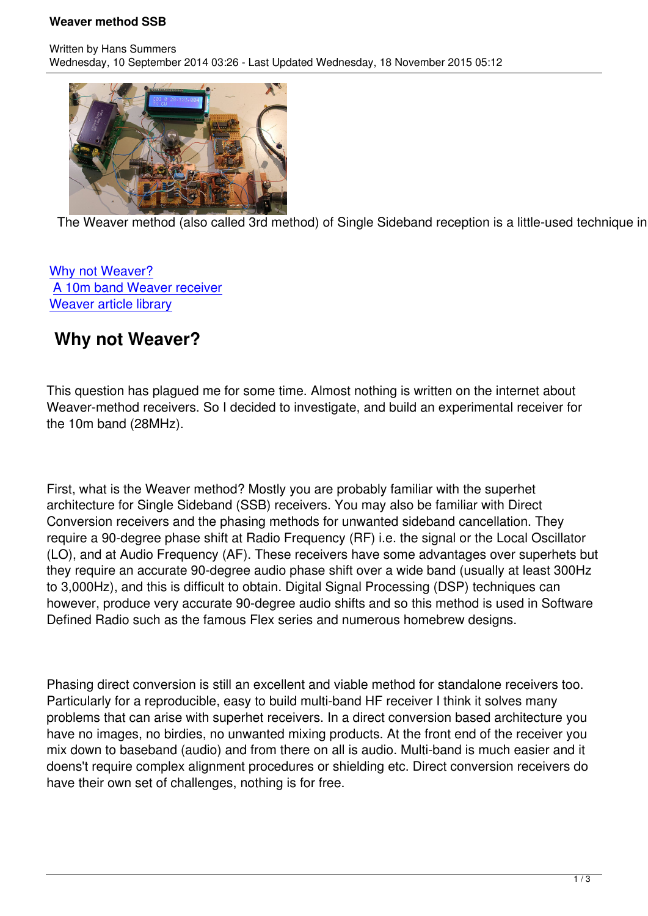

The Weaver method (also called 3rd method) of Single Sideband reception is a little-used technique in HF

## Why not Weaver? A 10m band Weaver receiver Weaver article library

## **[Why not Weaver?](#10mweaver)**

This question has plagued me for some time. Almost nothing is written on the internet about Weaver-method receivers. So I decided to investigate, and build an experimental receiver for the 10m band (28MHz).

First, what is the Weaver method? Mostly you are probably familiar with the superhet architecture for Single Sideband (SSB) receivers. You may also be familiar with Direct Conversion receivers and the phasing methods for unwanted sideband cancellation. They require a 90-degree phase shift at Radio Frequency (RF) i.e. the signal or the Local Oscillator (LO), and at Audio Frequency (AF). These receivers have some advantages over superhets but they require an accurate 90-degree audio phase shift over a wide band (usually at least 300Hz to 3,000Hz), and this is difficult to obtain. Digital Signal Processing (DSP) techniques can however, produce very accurate 90-degree audio shifts and so this method is used in Software Defined Radio such as the famous Flex series and numerous homebrew designs.

Phasing direct conversion is still an excellent and viable method for standalone receivers too. Particularly for a reproducible, easy to build multi-band HF receiver I think it solves many problems that can arise with superhet receivers. In a direct conversion based architecture you have no images, no birdies, no unwanted mixing products. At the front end of the receiver you mix down to baseband (audio) and from there on all is audio. Multi-band is much easier and it doens't require complex alignment procedures or shielding etc. Direct conversion receivers do have their own set of challenges, nothing is for free.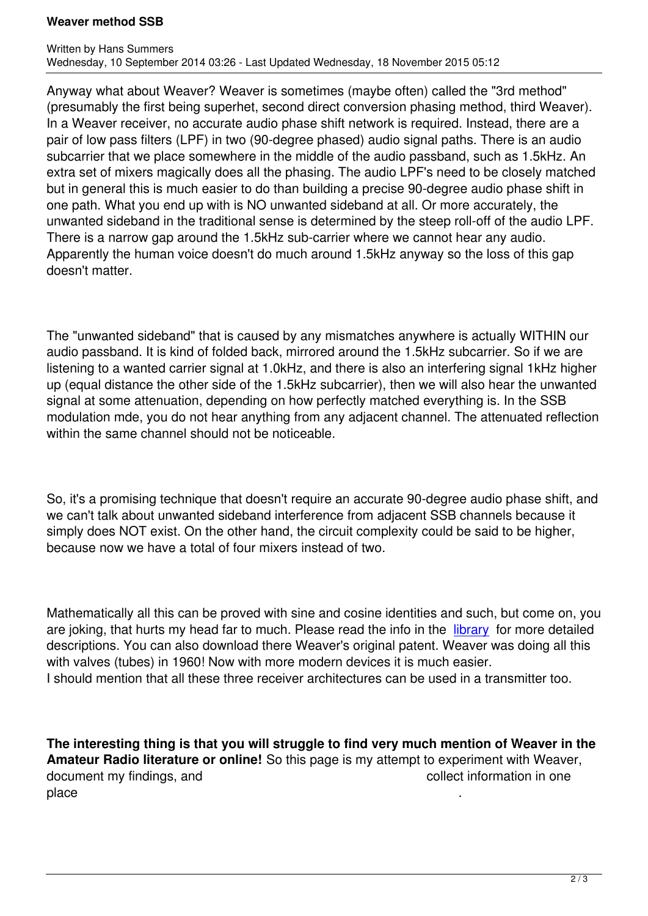Anyway what about Weaver? Weaver is sometimes (maybe often) called the "3rd method" (presumably the first being superhet, second direct conversion phasing method, third Weaver). In a Weaver receiver, no accurate audio phase shift network is required. Instead, there are a pair of low pass filters (LPF) in two (90-degree phased) audio signal paths. There is an audio subcarrier that we place somewhere in the middle of the audio passband, such as 1.5kHz. An extra set of mixers magically does all the phasing. The audio LPF's need to be closely matched but in general this is much easier to do than building a precise 90-degree audio phase shift in one path. What you end up with is NO unwanted sideband at all. Or more accurately, the unwanted sideband in the traditional sense is determined by the steep roll-off of the audio LPF. There is a narrow gap around the 1.5kHz sub-carrier where we cannot hear any audio. Apparently the human voice doesn't do much around 1.5kHz anyway so the loss of this gap doesn't matter.

The "unwanted sideband" that is caused by any mismatches anywhere is actually WITHIN our audio passband. It is kind of folded back, mirrored around the 1.5kHz subcarrier. So if we are listening to a wanted carrier signal at 1.0kHz, and there is also an interfering signal 1kHz higher up (equal distance the other side of the 1.5kHz subcarrier), then we will also hear the unwanted signal at some attenuation, depending on how perfectly matched everything is. In the SSB modulation mde, you do not hear anything from any adjacent channel. The attenuated reflection within the same channel should not be noticeable.

So, it's a promising technique that doesn't require an accurate 90-degree audio phase shift, and we can't talk about unwanted sideband interference from adjacent SSB channels because it simply does NOT exist. On the other hand, the circuit complexity could be said to be higher, because now we have a total of four mixers instead of two.

Mathematically all this can be proved with sine and cosine identities and such, but come on, you are joking, that hurts my head far to much. Please read the info in the library for more detailed descriptions. You can also download there Weaver's original patent. Weaver was doing all this with valves (tubes) in 1960! Now with more modern devices it is much easier. I should mention that all these three receiver architectures can be use[d in a tr](weaver/weaverlib)ansmitter too.

**The interesting thing is that you will struggle to find very much mention of Weaver in the Amateur Radio literature or online!** So this page is my attempt to experiment with Weaver, document my findings, and document my findings, and place .